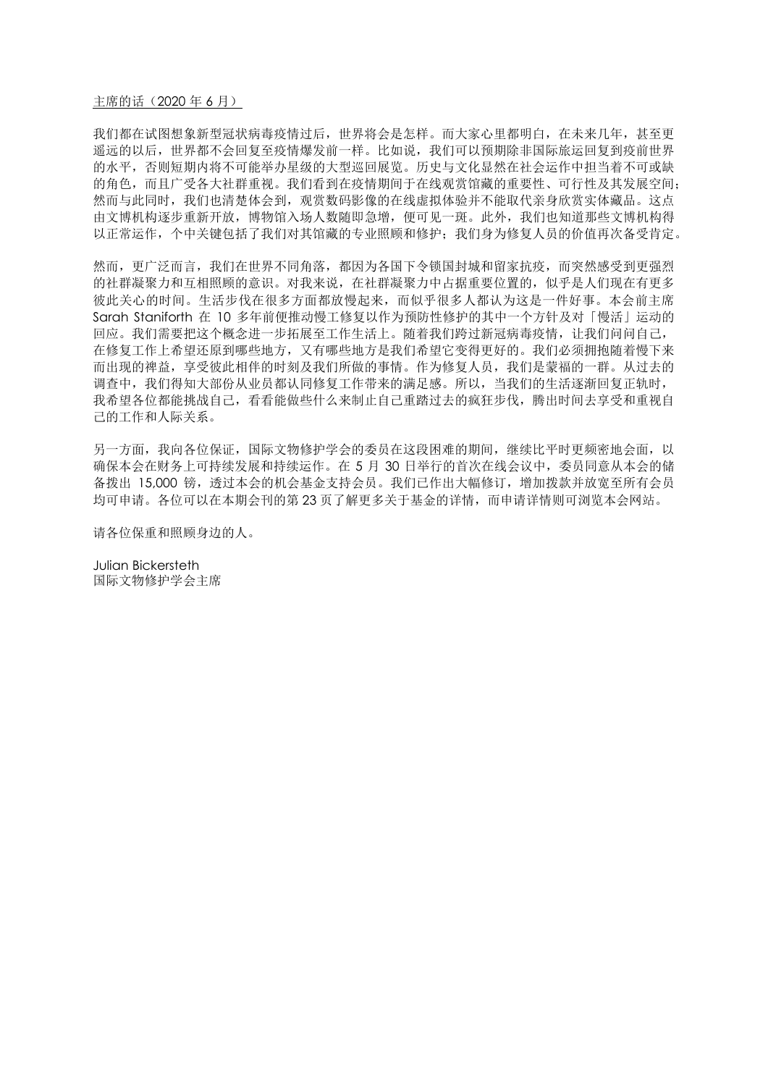#### 主席的话 (2020年6月)

我们都在试图想象新型冠状病毒疫情过后,世界将会是怎样。而大家心里都明白,在未来几年,甚至更 遥远的以后,世界都不会回复至疫情爆发前一样。比如说,我们可以预期除非国际旅运回复到疫前世界 的水平,否则短期内将不可能举办星级的大型巡回展览。历史与文化显然在社会运作中担当着不可或缺 的角色,而且广受各大社群重视。我们看到在疫情期间于在线观赏馆藏的重要性、可行性及其发展空间; 然而与此同时,我们也清楚体会到,观赏数码影像的在线虚拟体验并不能取代亲身欣赏实体藏品。这点 由文博机构逐步重新开放,博物馆入场人数随即急增,便可见一斑。此外,我们也知道那些文博机构得 以正常运作,个中关键包括了我们对其馆藏的专业照顾和修护:我们身为修复人员的价值再次备受肯定。

然而,更广泛而言,我们在世界不同角落,都因为各国下令锁国封城和留家抗疫,而突然感受到更强烈 的社群凝聚力和互相照顾的意识。对我来说,在社群凝聚力中占据重要位置的,似乎是人们现在有更多 彼此关心的时间。生活步伐在很多方面都放慢起来,而似乎很多人都认为这是一件好事。本会前主席 Sarah Staniforth 在 10 多年前便推动慢工修复以作为预防性修护的其中一个方针及对「慢活」运动的 回应。我们需要把这个概念进一步拓展至工作生活上。随着我们跨过新冠病毒疫情,让我们问问自己, 在修复工作上希望还原到哪些地方,又有哪些地方是我们希望它变得更好的。我们必须拥抱随着慢下来 而出现的禆益,享受彼此相伴的时刻及我们所做的事情。作为修复人员,我们是蒙福的一群。从过去的 调查中,我们得知大部份从业员都认同修复工作带来的满足感。所以,当我们的生活逐渐回复正轨时, 我希望各位都能挑战自己,看看能做些什么来制止自己重踏过去的疯狂步伐,腾出时间去享受和重视自 己的工作和人际关系。

另一方面,我向各位保证,国际文物修护学会的委员在这段困难的期间,继续比平时更频密地会面,以 确保本会在财务上可持续发展和持续运作。在 5 月 30 日举行的首次在线会议中,委员同意从本会的储 备拨出 15,000 镑,透过本会的机会基金支持会员。我们已作出大幅修订, 增加拨款并放宽至所有会员 均可申请。各位可以在本期会刊的第 23 页了解更多关于基金的详情,而申请详情则可浏览本会网站。

请各位保重和照顾身边的人。

Julian Bickersteth 国际文物修护学会主席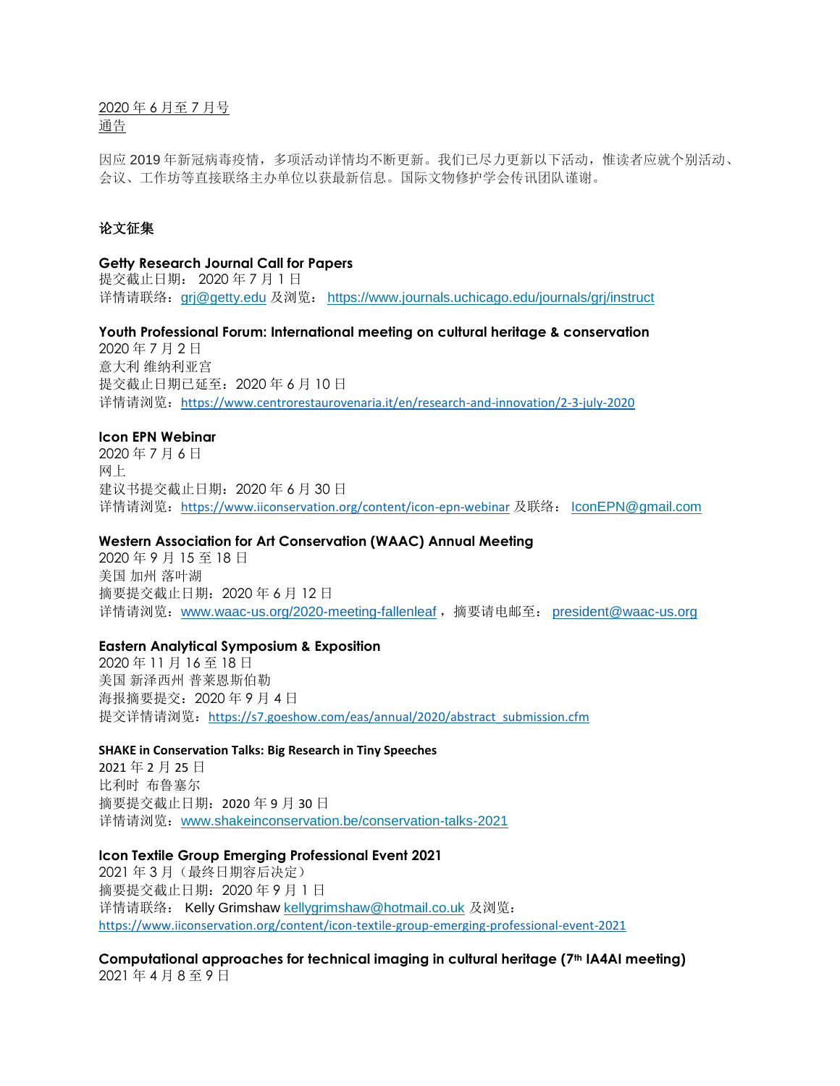2020 年 6 月至 7 月号 通告

因应 2019 年新冠病毒疫情,多项活动详情均不断更新。我们已尽力更新以下活动,惟读者应就个别活动、 会议、工作坊等直接联络主办单位以获最新信息。国际文物修护学会传讯团队谨谢。

# 论文征集

### **Getty Research Journal Call for Papers**

提交截止日期: 2020 年 7 月 1 日 详情请联络: gri@getty.edu 及浏览: <https://www.journals.uchicago.edu/journals/grj/instruct>

**Youth Professional Forum: International meeting on cultural heritage & conservation**

2020 年 7 月 2 日 意大利 维纳利亚宫 提交截止日期已延至:2020 年 6 月 10 日 详情请浏览:<https://www.centrorestaurovenaria.it/en/research-and-innovation/2-3-july-2020>

## **Icon EPN Webinar**

2020 年 7 月 6 日 网上 建议书提交截止日期:2020 年 6 月 30 日 详情请浏览:<https://www.iiconservation.org/content/icon-epn-webinar> 及联络: [IconEPN@gmail.com](mailto:IconEPN@gmail.com)

# **Western Association for Art Conservation (WAAC) Annual Meeting**

2020 年 9 月 15 至 18 日 美国 加州 落叶湖 摘要提交截止日期:2020 年 6 月 12 日 详情请浏览: [www.waac-us.org/2020-meeting-fallenleaf](http://www.waac-us.org/2020-meeting-fallenleaf), 摘要请电邮至: [president@waac-us.org](mailto:president@waac-us.org)

#### **Eastern Analytical Symposium & Exposition**

2020 年 11 月 16 至 18 日 美国 新泽西州 普莱恩斯伯勒 海报摘要提交:2020 年 9 月 4 日 提交详情请浏览: [https://s7.goeshow.com/eas/annual/2020/abstract\\_submission.cfm](https://s7.goeshow.com/eas/annual/2020/abstract_submission.cfm)

## **SHAKE in Conservation Talks: Big Research in Tiny Speeches**

2021 年 2 月 25 日 比利时 布鲁塞尔 摘要提交截止日期:2020 年 9 月 30 日 详情请浏览:[www.shakeinconservation.be/conservation-talks-2021](http://www.shakeinconservation.be/conservation-talks-2021)

#### **Icon Textile Group Emerging Professional Event 2021**

2021 年 3 月(最终日期容后决定) 摘要提交截止日期:2020 年 9 月 1 日 详情请联络: Kelly Grimshaw [kellygrimshaw@hotmail.co.uk](mailto:kellygrimshaw@hotmail.co.uk) 及浏览: <https://www.iiconservation.org/content/icon-textile-group-emerging-professional-event-2021>

**Computational approaches for technical imaging in cultural heritage (7th IA4AI meeting)** 2021 年 4 月 8 至 9 日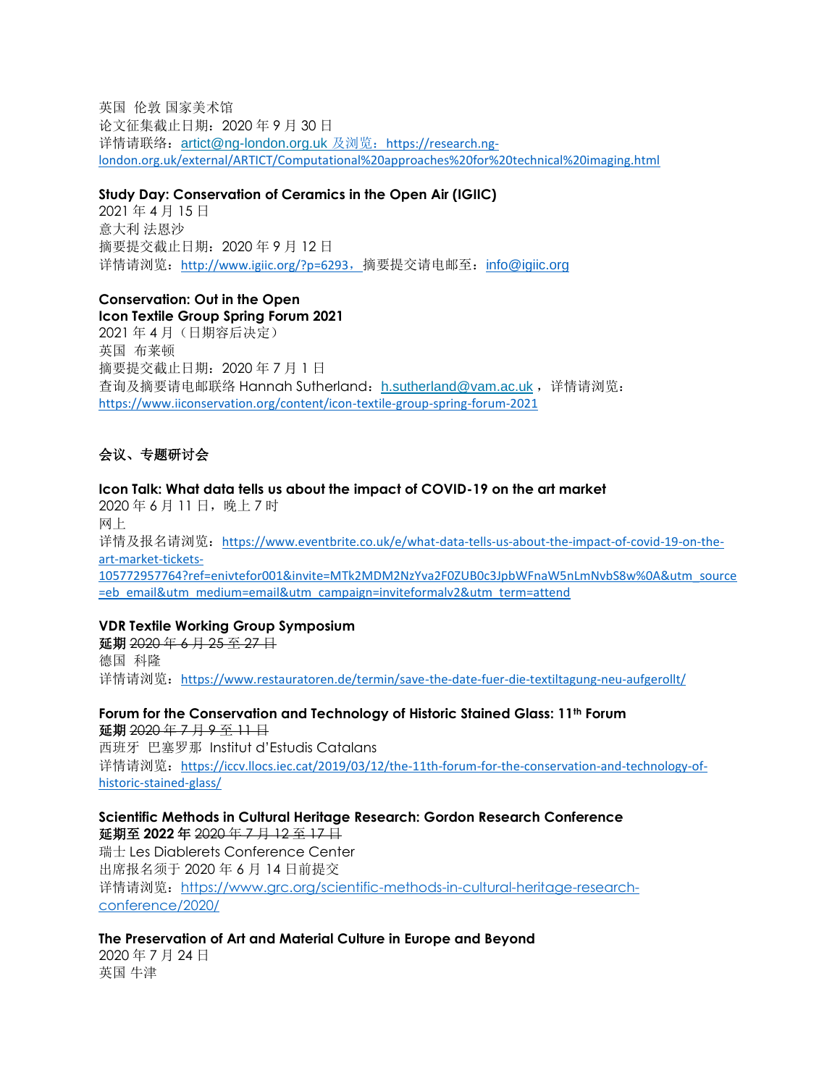英国 伦敦 国家美术馆 论文征集截止日期:2020 年 9 月 30 日 详情请联络: [artict@ng-london.org.uk](mailto:artict@ng-london.org.uk) 及浏览: [https://research.ng](https://research.ng-london.org.uk/external/ARTICT/Computational%20approaches%20for%20technical%20imaging.html)[london.org.uk/external/ARTICT/Computational%20approaches%20for%20technical%20imaging.html](https://research.ng-london.org.uk/external/ARTICT/Computational%20approaches%20for%20technical%20imaging.html)

#### **Study Day: Conservation of Ceramics in the Open Air (IGIIC)**

2021 年 4 月 15 日 意大利 法恩沙 摘要提交截止日期:2020 年 9 月 12 日 详情请浏览: <http://www.igiic.org/?p=6293>, 摘要提交请电邮至: [info@igiic.org](mailto:info@igiic.org)

# **Conservation: Out in the Open**

**Icon Textile Group Spring Forum 2021** 2021 年 4 月(日期容后决定) 英国 布莱顿 摘要提交截止日期:2020 年 7 月 1 日 查询及摘要请电邮联络 Hannah Sutherland:[h.sutherland@vam.ac.uk](mailto:h.sutherland@vam.ac.uk) ,详情请浏览: <https://www.iiconservation.org/content/icon-textile-group-spring-forum-2021>

# 会议、专题研讨会

**Icon Talk: What data tells us about the impact of COVID-19 on the art market** 2020年6月11日,晚上7时 网上 详情及报名请浏览: [https://www.eventbrite.co.uk/e/what-data-tells-us-about-the-impact-of-covid-19-on-the](https://www.eventbrite.co.uk/e/what-data-tells-us-about-the-impact-of-covid-19-on-the-art-market-tickets-105772957764?ref=enivtefor001&invite=MTk2MDM2NzYva2F0ZUB0c3JpbWFnaW5nLmNvbS8w%0A&utm_source=eb_email&utm_medium=email&utm_campaign=inviteformalv2&utm_term=attend)[art-market-tickets-](https://www.eventbrite.co.uk/e/what-data-tells-us-about-the-impact-of-covid-19-on-the-art-market-tickets-105772957764?ref=enivtefor001&invite=MTk2MDM2NzYva2F0ZUB0c3JpbWFnaW5nLmNvbS8w%0A&utm_source=eb_email&utm_medium=email&utm_campaign=inviteformalv2&utm_term=attend)[105772957764?ref=enivtefor001&invite=MTk2MDM2NzYva2F0ZUB0c3JpbWFnaW5nLmNvbS8w%0A&utm\\_source](https://www.eventbrite.co.uk/e/what-data-tells-us-about-the-impact-of-covid-19-on-the-art-market-tickets-105772957764?ref=enivtefor001&invite=MTk2MDM2NzYva2F0ZUB0c3JpbWFnaW5nLmNvbS8w%0A&utm_source=eb_email&utm_medium=email&utm_campaign=inviteformalv2&utm_term=attend) [=eb\\_email&utm\\_medium=email&utm\\_campaign=inviteformalv2&utm\\_term=attend](https://www.eventbrite.co.uk/e/what-data-tells-us-about-the-impact-of-covid-19-on-the-art-market-tickets-105772957764?ref=enivtefor001&invite=MTk2MDM2NzYva2F0ZUB0c3JpbWFnaW5nLmNvbS8w%0A&utm_source=eb_email&utm_medium=email&utm_campaign=inviteformalv2&utm_term=attend)

# **VDR Textile Working Group Symposium**

延期 2020年6月 25至 27日 德国 科隆 详情请浏览: <https://www.restauratoren.de/termin/save-the-date-fuer-die-textiltagung-neu-aufgerollt/>

**Forum for the Conservation and Technology of Historic Stained Glass: 11th Forum** 延期 2020 年 7 月 9 至 11 日

西班牙 巴塞罗那 Institut d'Estudis Catalans 详情请浏览: [https://iccv.llocs.iec.cat/2019/03/12/the-11th-forum-for-the-conservation-and-technology-of](https://iccv.llocs.iec.cat/2019/03/12/the-11th-forum-for-the-conservation-and-technology-of-historic-stained-glass/)[historic-stained-glass/](https://iccv.llocs.iec.cat/2019/03/12/the-11th-forum-for-the-conservation-and-technology-of-historic-stained-glass/)

**Scientific Methods in Cultural Heritage Research: Gordon Research Conference** 延期至 **2022** 年 2020 年 7 月 12 至 17 日 瑞士 Les Diablerets Conference Center

出席报名须于 2020 年 6 月 14 日前提交 详情请浏览:[https://www.grc.org/scientific-methods-in-cultural-heritage-research-](https://www.grc.org/scientific-methods-in-cultural-heritage-research-conference/2020/)

[conference/2020/](https://www.grc.org/scientific-methods-in-cultural-heritage-research-conference/2020/)

**The Preservation of Art and Material Culture in Europe and Beyond**

2020 年 7 月 24 日 英国 牛津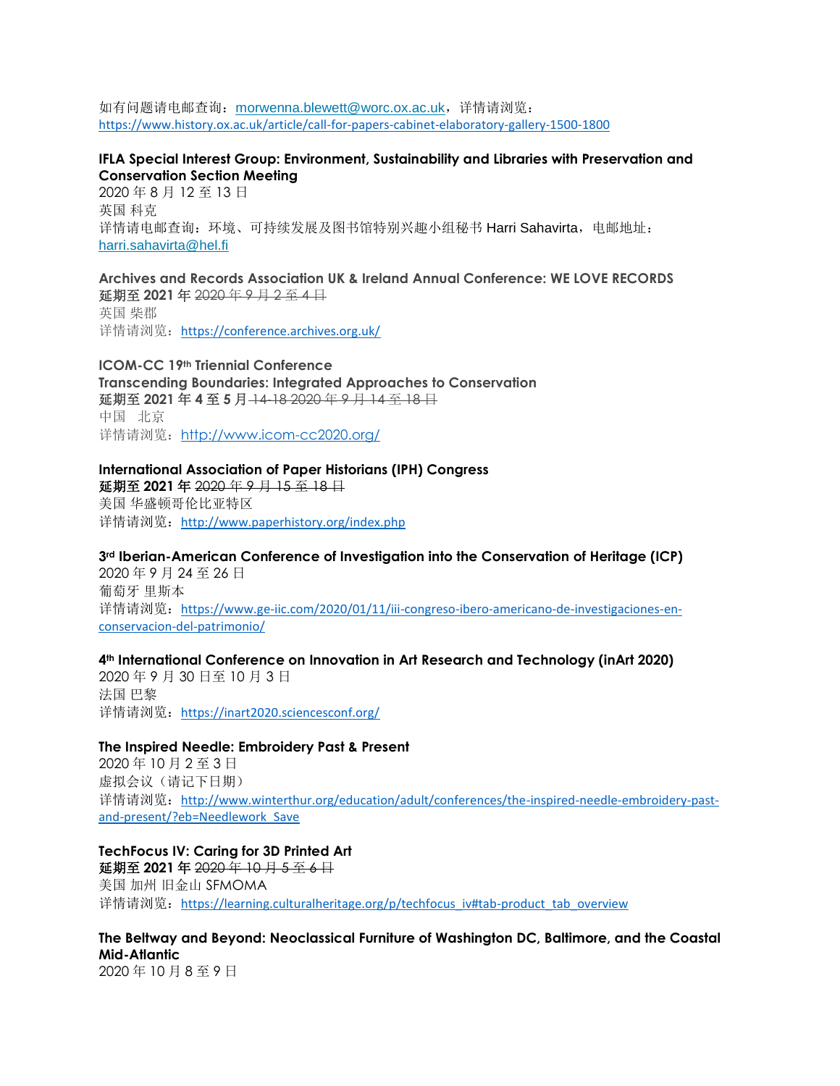如有问题请电邮查询: [morwenna.blewett@worc.ox.ac.uk](mailto:morwenna.blewett@worc.ox.ac.uk), 详情请浏览: <https://www.history.ox.ac.uk/article/call-for-papers-cabinet-elaboratory-gallery-1500-1800>

# **IFLA Special Interest Group: Environment, Sustainability and Libraries with Preservation and Conservation Section Meeting**

2020 年 8 月 12 至 13 日 英国 科克 详情请电邮查询: 环境、可持续发展及图书馆特别兴趣小组秘书 Harri Sahavirta,电邮地址: [harri.sahavirta@hel.fi](mailto:harri.sahavirta@hel.fi)

**Archives and Records Association UK & Ireland Annual Conference: WE LOVE RECORDS** 延期至 **2021** 年 2020 年 9 月 2 至 4 日 英国 柴郡

详情请浏览: <https://conference.archives.org.uk/>

**ICOM-CC 19th Triennial Conference Transcending Boundaries: Integrated Approaches to Conservation** 延期至 **2021** 年 **4** 至 **5** 月 14-18 2020 年 9 月 14 至 18 日 中国 北京 详情请浏览: <http://www.icom-cc2020.org/>

**International Association of Paper Historians (IPH) Congress** 延期至 **2021** 年 2020 年 9 月 15 至 18 日 美国 华盛顿哥伦比亚特区 详情请浏览: <http://www.paperhistory.org/index.php>

**3rd Iberian-American Conference of Investigation into the Conservation of Heritage (ICP)** 2020 年 9 月 24 至 26 日 葡萄牙 里斯本 详情请浏览: [https://www.ge-iic.com/2020/01/11/iii-congreso-ibero-americano-de-investigaciones-en-](https://www.ge-iic.com/2020/01/11/iii-congreso-ibero-americano-de-investigaciones-en-conservacion-del-patrimonio/)

[conservacion-del-patrimonio/](https://www.ge-iic.com/2020/01/11/iii-congreso-ibero-americano-de-investigaciones-en-conservacion-del-patrimonio/)

# **4th International Conference on Innovation in Art Research and Technology (inArt 2020)**

2020 年 9 月 30 日至 10 月 3 日 法国 巴黎 详情请浏览: <https://inart2020.sciencesconf.org/>

# **The Inspired Needle: Embroidery Past & Present**

2020 年 10 月 2 至 3 日 虚拟会议(请记下日期) 详情请浏览: [http://www.winterthur.org/education/adult/conferences/the-inspired-needle-embroidery-past](http://www.winterthur.org/education/adult/conferences/the-inspired-needle-embroidery-past-and-present/?eb=Needlework_Save)[and-present/?eb=Needlework\\_Save](http://www.winterthur.org/education/adult/conferences/the-inspired-needle-embroidery-past-and-present/?eb=Needlework_Save)

**TechFocus IV: Caring for 3D Printed Art** 延期至 **2021** 年 2020 年 10 月 5 至 6 日 美国 加州 旧金山 SFMOMA 详情请浏览: [https://learning.culturalheritage.org/p/techfocus\\_iv#tab-product\\_tab\\_overview](https://learning.culturalheritage.org/p/techfocus_iv#tab-product_tab_overview)

**The Beltway and Beyond: Neoclassical Furniture of Washington DC, Baltimore, and the Coastal Mid-Atlantic**

2020 年 10 月 8 至 9 日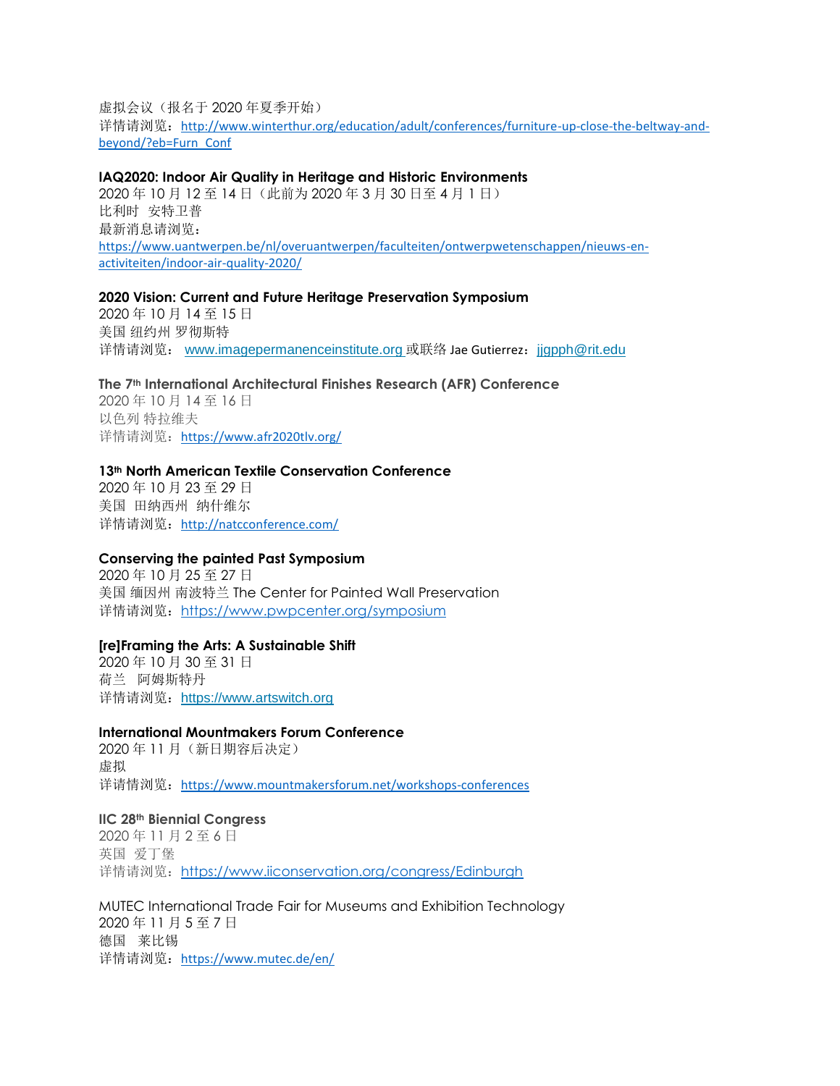虚拟会议(报名于 2020 年夏季开始)

详情请浏览: [http://www.winterthur.org/education/adult/conferences/furniture-up-close-the-beltway-and](http://www.winterthur.org/education/adult/conferences/furniture-up-close-the-beltway-and-beyond/?eb=Furn_Conf)[beyond/?eb=Furn\\_Conf](http://www.winterthur.org/education/adult/conferences/furniture-up-close-the-beltway-and-beyond/?eb=Furn_Conf)

# **IAQ2020: Indoor Air Quality in Heritage and Historic Environments**

2020 年 10 月 12 至 14 日(此前为 2020 年 3 月 30 日至 4 月 1 日) 比利时 安特卫普 最新消息请浏览: [https://www.uantwerpen.be/nl/overuantwerpen/faculteiten/ontwerpwetenschappen/nieuws-en](https://www.uantwerpen.be/nl/overuantwerpen/faculteiten/ontwerpwetenschappen/nieuws-en-activiteiten/indoor-air-quality-2020/)[activiteiten/indoor-air-quality-2020/](https://www.uantwerpen.be/nl/overuantwerpen/faculteiten/ontwerpwetenschappen/nieuws-en-activiteiten/indoor-air-quality-2020/)

### **2020 Vision: Current and Future Heritage Preservation Symposium**

2020 年 10 月 14 至 15 日 美国 纽约州 罗彻斯特 详情请浏览: [www.imagepermanenceinstitute.org](http://www.imagepermanenceinstitute.org/) 或联络 Jae Gutierrez: [jjgpph@rit.edu](mailto:jjgpph@rit.edu)

# **The 7th International Architectural Finishes Research (AFR) Conference**

2020 年 10 月 14 至 16 日 以色列 特拉维夫 详情请浏览: <https://www.afr2020tlv.org/>

### **13th North American Textile Conservation Conference**

2020 年 10 月 23 至 29 日 美国 田纳西州 纳什维尔 详情请浏览: <http://natcconference.com/>

# **Conserving the painted Past Symposium**

2020 年 10 月 25 至 27 日 美国 缅因州 南波特兰 The Center for Painted Wall Preservation 详情请浏览: <https://www.pwpcenter.org/symposium>

#### **[re]Framing the Arts: A Sustainable Shift**

2020 年 10 月 30 至 31 日 荷兰 阿姆斯特丹 详情请浏览: [https://www.artswitch.org](https://www.artswitch.org/)

# **International Mountmakers Forum Conference**

2020 年 11 月(新日期容后决定) 虚拟 详请情浏览: <https://www.mountmakersforum.net/workshops-conferences>

#### **IIC 28th Biennial Congress**

2020 年 11 月 2 至 6 日 英国 爱丁堡 详情请浏览: <https://www.iiconservation.org/congress/Edinburgh>

MUTEC International Trade Fair for Museums and Exhibition Technology 2020 年 11 月 5 至 7 日 德国 莱比锡 详情请浏览: <https://www.mutec.de/en/>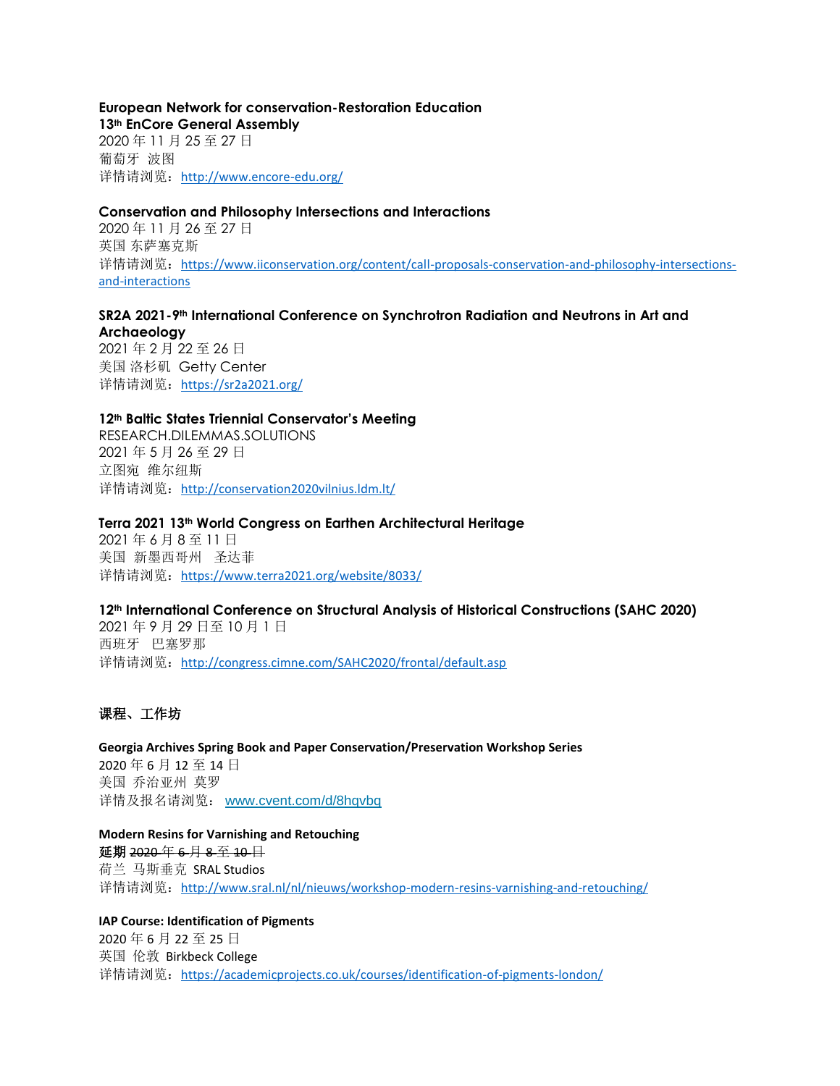# **European Network for conservation-Restoration Education 13th EnCore General Assembly** 2020 年 11 月 25 至 27 日 葡萄牙 波图

详情请浏览: <http://www.encore-edu.org/>

# **Conservation and Philosophy Intersections and Interactions**

2020 年 11 月 26 至 27 日 英国 东萨塞克斯 详情请浏览: [https://www.iiconservation.org/content/call-proposals-conservation-and-philosophy-intersections](https://www.iiconservation.org/content/call-proposals-conservation-and-philosophy-intersections-and-interactions)[and-interactions](https://www.iiconservation.org/content/call-proposals-conservation-and-philosophy-intersections-and-interactions)

# **SR2A 2021-9th International Conference on Synchrotron Radiation and Neutrons in Art and**

**Archaeology** 2021 年 2 月 22 至 26 日 美国 洛杉矶 Getty Center 详情请浏览: <https://sr2a2021.org/>

# **12th Baltic States Triennial Conservator's Meeting**

RESEARCH.DILEMMAS.SOLUTIONS 2021 年 5 月 26 至 29 日 立图宛 维尔纽斯 详情请浏览: <http://conservation2020vilnius.ldm.lt/>

#### **Terra 2021 13th World Congress on Earthen Architectural Heritage**

2021 年 6 月 8 至 11 日 美国 新墨西哥州 圣达菲 详情请浏览: <https://www.terra2021.org/website/8033/>

#### **12th International Conference on Structural Analysis of Historical Constructions (SAHC 2020)**

2021 年 9 月 29 日至 10 月 1 日 西班牙 巴塞罗那 详情请浏览: <http://congress.cimne.com/SAHC2020/frontal/default.asp>

# 课程、工作坊

**Georgia Archives Spring Book and Paper Conservation/Preservation Workshop Series** 2020 年 6 月 12 至 14 日 美国 乔治亚州 莫罗 详情及报名请浏览: [www.cvent.com/d/8hqvbq](http://www.cvent.com/d/8hqvbq)

**Modern Resins for Varnishing and Retouching** 延期 2020 年 6 月 8 至 10 日 荷兰 马斯垂克 SRAL Studios 详情请浏览:<http://www.sral.nl/nl/nieuws/workshop-modern-resins-varnishing-and-retouching/>

# **IAP Course: Identification of Pigments** 2020 年 6 月 22 至 25 日 英国 伦敦 Birkbeck College 详情请浏览: <https://academicprojects.co.uk/courses/identification-of-pigments-london/>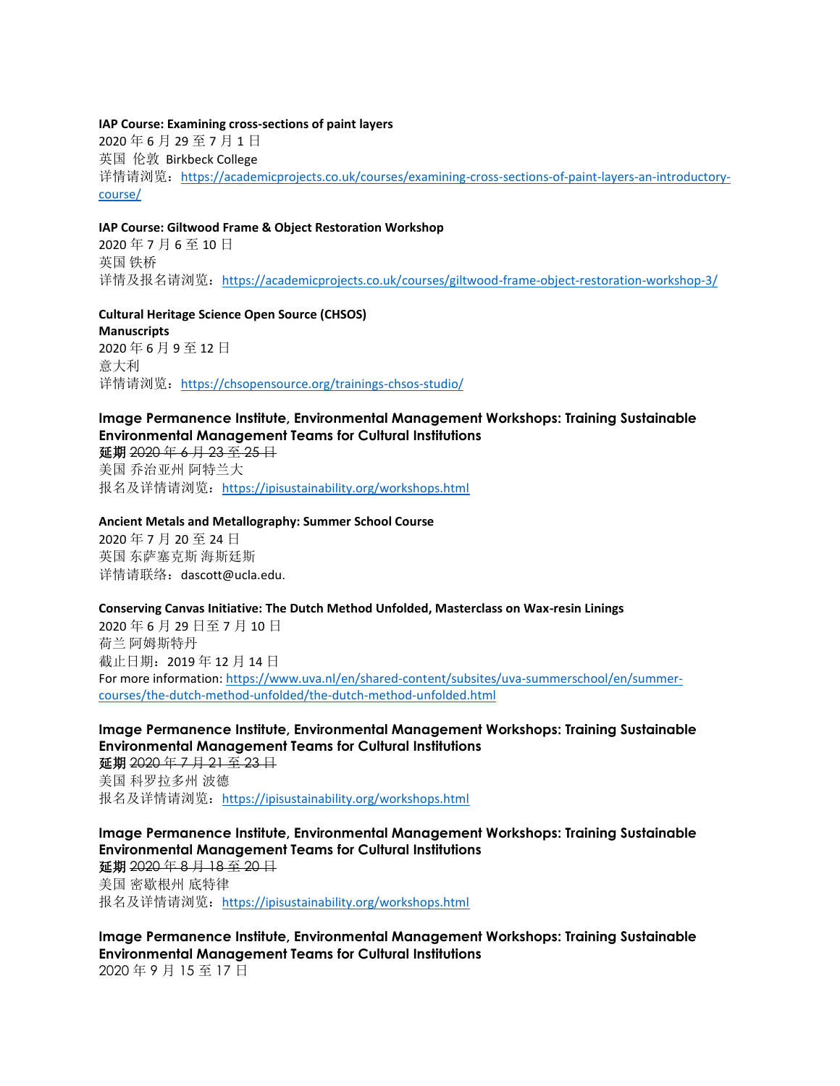#### **IAP Course: Examining cross-sections of paint layers**

2020 年 6 月 29 至 7 月 1 日 英国 伦敦 Birkbeck College 详情请浏览: [https://academicprojects.co.uk/courses/examining-cross-sections-of-paint-layers-an-introductory](https://academicprojects.co.uk/courses/examining-cross-sections-of-paint-layers-an-introductory-course/)[course/](https://academicprojects.co.uk/courses/examining-cross-sections-of-paint-layers-an-introductory-course/)

#### **IAP Course: Giltwood Frame & Object Restoration Workshop**

2020 年 7 月 6 至 10 日 英国 铁桥 详情及报名请浏览: <https://academicprojects.co.uk/courses/giltwood-frame-object-restoration-workshop-3/>

**Cultural Heritage Science Open Source (CHSOS) Manuscripts** 2020 年 6 月 9 至 12 日 意大利 详情请浏览: <https://chsopensource.org/trainings-chsos-studio/>

# **Image Permanence Institute, Environmental Management Workshops: Training Sustainable Environmental Management Teams for Cultural Institutions**

延期 2020 年 6 月 23 至 25 日 美国 乔治亚州 阿特兰大 报名及详情请浏览: <https://ipisustainability.org/workshops.html>

### **Ancient Metals and Metallography: Summer School Course**

2020 年 7 月 20 至 24 日 英国 东萨塞克斯 海斯廷斯 详情请联络:dascott@ucla.edu.

#### **Conserving Canvas Initiative: The Dutch Method Unfolded, Masterclass on Wax-resin Linings**

2020 年 6 月 29 日至 7 月 10 日 荷兰 阿姆斯特丹 截止日期:2019 年 12 月 14 日 For more information: [https://www.uva.nl/en/shared-content/subsites/uva-summerschool/en/summer](https://www.uva.nl/en/shared-content/subsites/uva-summerschool/en/summer-courses/the-dutch-method-unfolded/the-dutch-method-unfolded.html)[courses/the-dutch-method-unfolded/the-dutch-method-unfolded.html](https://www.uva.nl/en/shared-content/subsites/uva-summerschool/en/summer-courses/the-dutch-method-unfolded/the-dutch-method-unfolded.html)

**Image Permanence Institute, Environmental Management Workshops: Training Sustainable Environmental Management Teams for Cultural Institutions**

延期 2020年7月 21至 23日 美国 科罗拉多州 波德 报名及详情请浏览: <https://ipisustainability.org/workshops.html>

**Image Permanence Institute, Environmental Management Workshops: Training Sustainable Environmental Management Teams for Cultural Institutions** 延期 2020 年 8 月 18 至 20 日

美国 密歇根州 底特律 报名及详情请浏览: <https://ipisustainability.org/workshops.html>

**Image Permanence Institute, Environmental Management Workshops: Training Sustainable Environmental Management Teams for Cultural Institutions** 2020 年 9 月 15 至 17 日